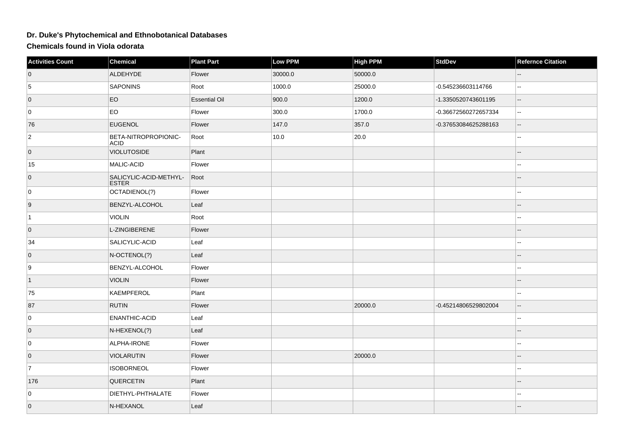## **Dr. Duke's Phytochemical and Ethnobotanical Databases**

**Chemicals found in Viola odorata**

| <b>Activities Count</b> | Chemical                               | <b>Plant Part</b>    | Low PPM | <b>High PPM</b> | <b>StdDev</b>        | <b>Refernce Citation</b> |
|-------------------------|----------------------------------------|----------------------|---------|-----------------|----------------------|--------------------------|
| $\overline{0}$          | ALDEHYDE                               | Flower               | 30000.0 | 50000.0         |                      |                          |
| 5                       | <b>SAPONINS</b>                        | Root                 | 1000.0  | 25000.0         | -0.545236603114766   | Ξ.                       |
| $\overline{0}$          | EO                                     | <b>Essential Oil</b> | 900.0   | 1200.0          | -1.3350520743601195  | $\overline{\phantom{a}}$ |
| 0                       | EO                                     | Flower               | 300.0   | 1700.0          | -0.36672560272657334 | $\mathbb{L}^2$           |
| 76                      | <b>EUGENOL</b>                         | Flower               | 147.0   | 357.0           | -0.37653084625288163 | $\overline{\phantom{a}}$ |
| $\overline{2}$          | BETA-NITROPROPIONIC-<br>ACID           | Root                 | 10.0    | 20.0            |                      | $\overline{\phantom{a}}$ |
| $\overline{0}$          | <b>VIOLUTOSIDE</b>                     | Plant                |         |                 |                      | $-$                      |
| 15                      | MALIC-ACID                             | Flower               |         |                 |                      | $\overline{\phantom{a}}$ |
| $\overline{0}$          | SALICYLIC-ACID-METHYL-<br><b>ESTER</b> | Root                 |         |                 |                      | $\overline{\phantom{a}}$ |
| 0                       | OCTADIENOL(?)                          | Flower               |         |                 |                      | ۰.                       |
| $\overline{9}$          | BENZYL-ALCOHOL                         | Leaf                 |         |                 |                      |                          |
| $\vert$ 1               | <b>VIOLIN</b>                          | Root                 |         |                 |                      | $\overline{a}$           |
| $\overline{0}$          | L-ZINGIBERENE                          | Flower               |         |                 |                      |                          |
| 34                      | SALICYLIC-ACID                         | Leaf                 |         |                 |                      | $\frac{1}{2}$            |
| $\overline{0}$          | N-OCTENOL(?)                           | Leaf                 |         |                 |                      | $-$                      |
| 9                       | BENZYL-ALCOHOL                         | Flower               |         |                 |                      | $\overline{\phantom{a}}$ |
| $\vert$ 1               | <b>VIOLIN</b>                          | Flower               |         |                 |                      | $-$                      |
| 75                      | <b>KAEMPFEROL</b>                      | Plant                |         |                 |                      | 44                       |
| 87                      | <b>RUTIN</b>                           | Flower               |         | 20000.0         | -0.45214806529802004 | $\mathbf{L}$             |
| 0                       | ENANTHIC-ACID                          | Leaf                 |         |                 |                      | $\overline{a}$           |
| $\overline{0}$          | N-HEXENOL(?)                           | Leaf                 |         |                 |                      |                          |
| 0                       | ALPHA-IRONE                            | Flower               |         |                 |                      | --                       |
| $\overline{0}$          | <b>VIOLARUTIN</b>                      | Flower               |         | 20000.0         |                      |                          |
| $\overline{7}$          | <b>ISOBORNEOL</b>                      | Flower               |         |                 |                      | $\overline{\phantom{a}}$ |
| 176                     | QUERCETIN                              | Plant                |         |                 |                      |                          |
| 0                       | DIETHYL-PHTHALATE                      | Flower               |         |                 |                      | --                       |
| $\overline{0}$          | N-HEXANOL                              | Leaf                 |         |                 |                      |                          |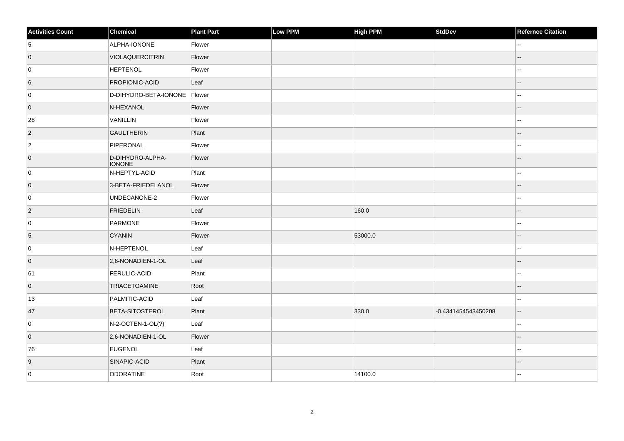| <b>Activities Count</b> | Chemical                          | <b>Plant Part</b> | Low PPM | <b>High PPM</b> | <b>StdDev</b>       | <b>Refernce Citation</b> |
|-------------------------|-----------------------------------|-------------------|---------|-----------------|---------------------|--------------------------|
| 5                       | ALPHA-IONONE                      | Flower            |         |                 |                     | ۵۵                       |
| $\overline{0}$          | VIOLAQUERCITRIN                   | Flower            |         |                 |                     | --                       |
| 0                       | <b>HEPTENOL</b>                   | Flower            |         |                 |                     | --                       |
| 6                       | <b>PROPIONIC-ACID</b>             | Leaf              |         |                 |                     | --                       |
| 0                       | D-DIHYDRO-BETA-IONONE Flower      |                   |         |                 |                     | --                       |
| $\overline{0}$          | N-HEXANOL                         | Flower            |         |                 |                     |                          |
| 28                      | VANILLIN                          | Flower            |         |                 |                     |                          |
| $\vert$ 2               | <b>GAULTHERIN</b>                 | Plant             |         |                 |                     | --                       |
| $ 2\rangle$             | PIPERONAL                         | Flower            |         |                 |                     |                          |
| $\overline{0}$          | D-DIHYDRO-ALPHA-<br><b>IONONE</b> | Flower            |         |                 |                     |                          |
| 0                       | N-HEPTYL-ACID                     | Plant             |         |                 |                     |                          |
| $\overline{0}$          | 3-BETA-FRIEDELANOL                | Flower            |         |                 |                     | --                       |
| 0                       | UNDECANONE-2                      | Flower            |         |                 |                     | ۵.                       |
| $ 2\rangle$             | <b>FRIEDELIN</b>                  | Leaf              |         | 160.0           |                     |                          |
| 0                       | PARMONE                           | Flower            |         |                 |                     | Ξ.                       |
| 5                       | <b>CYANIN</b>                     | Flower            |         | 53000.0         |                     | --                       |
| 0                       | N-HEPTENOL                        | Leaf              |         |                 |                     |                          |
| $\overline{0}$          | 2,6-NONADIEN-1-OL                 | Leaf              |         |                 |                     |                          |
| 61                      | <b>FERULIC-ACID</b>               | Plant             |         |                 |                     |                          |
| $\overline{0}$          | <b>TRIACETOAMINE</b>              | Root              |         |                 |                     |                          |
| 13                      | PALMITIC-ACID                     | Leaf              |         |                 |                     | Ξ.                       |
| 47                      | <b>BETA-SITOSTEROL</b>            | Plant             |         | 330.0           | -0.4341454543450208 | $\overline{a}$           |
| 0                       | N-2-OCTEN-1-OL(?)                 | Leaf              |         |                 |                     | --                       |
| $\overline{0}$          | 2,6-NONADIEN-1-OL                 | Flower            |         |                 |                     |                          |
| 76                      | <b>EUGENOL</b>                    | Leaf              |         |                 |                     | --                       |
| 9                       | SINAPIC-ACID                      | Plant             |         |                 |                     |                          |
| 0                       | ODORATINE                         | Root              |         | 14100.0         |                     | --                       |